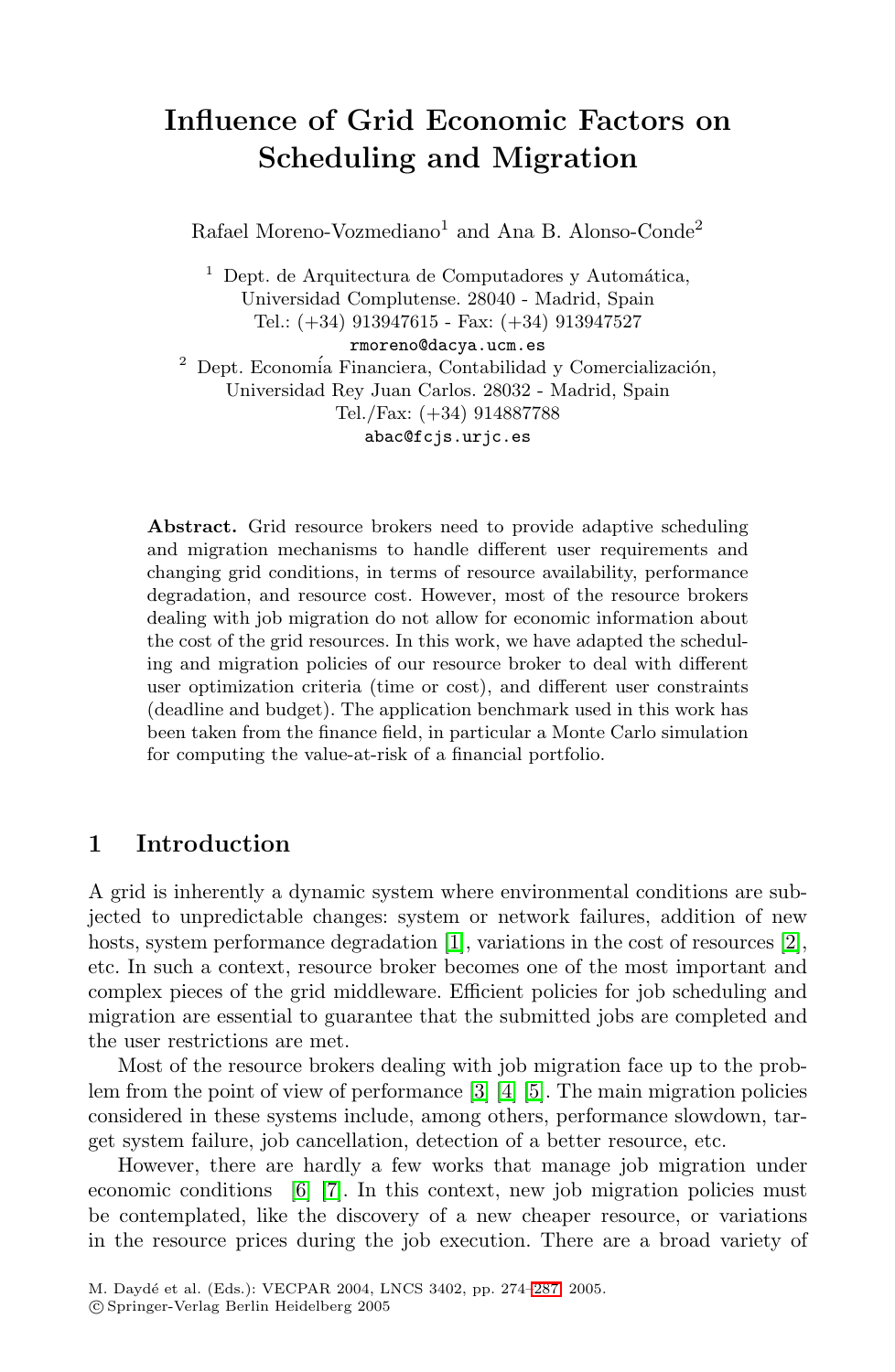# **Influence of Grid Economic Factors on Scheduling and Migration**

Rafael Moreno-Vozmediano<sup>1</sup> and Ana B. Alonso-Conde<sup>2</sup>

 $1$  Dept. de Arquitectura de Computadores y Automática, Universidad Complutense. 28040 - Madrid, Spain Tel.: (+34) 913947615 - Fax: (+34) 913947527

rmoreno@dacya.ucm.es

 $^{\rm 2}$  Dept. Economía Financiera, Contabilidad y Comercialización, Universidad Rey Juan Carlos. 28032 - Madrid, Spain Tel./Fax: (+34) 914887788 abac@fcjs.urjc.es

**Abstract.** Grid resource brokers need to provide adaptive scheduling and migration mechanisms to handle different user requirements and changing grid conditions, in terms of resource availability, performance degradation, and resource cost. However, most of the resource brokers dealing with job migration do not allow for economic information about the cost of the grid resources. In this work, we have adapted the scheduling and migration policies of our resource broker to deal with different user optimization criteria (time or cost), and different user constraints (deadline and budget). The application benchmark used in this work has been taken from the finance field, in particular a Monte Carlo simulation for computing the value-at-risk of a financial portfolio.

### **1 Introduction**

A grid is inherently a dynamic system where environmental conditions are subjected to unpredictable changes: system or network failures, addition of new hosts, system performance degradation [\[1\]](#page-12-0), variations in the cost of resources [\[2\]](#page-12-0), etc. In such a context, resource broker becomes one of the most important and complex pieces of the grid middleware. Efficient policies for job scheduling and migration are essential to guarantee that the submitted jobs are completed and the user restrictions are met.

Most of the resource brokers dealing with job migration face up to the problem from the point of view of performance [\[3\]](#page-12-0) [\[4\]](#page-13-0) [\[5\]](#page-13-0). The main migration policies considered in these systems include, among others, performance slowdown, target system failure, job cancellation, detection of a better resource, etc.

However, there are hardly a few works that manage job migration under economic conditions [\[6\]](#page-13-0) [\[7\]](#page-13-0). In this context, new job migration policies must be contemplated, like the discovery of a new cheaper resource, or variations in the resource prices during the job execution. There are a broad variety of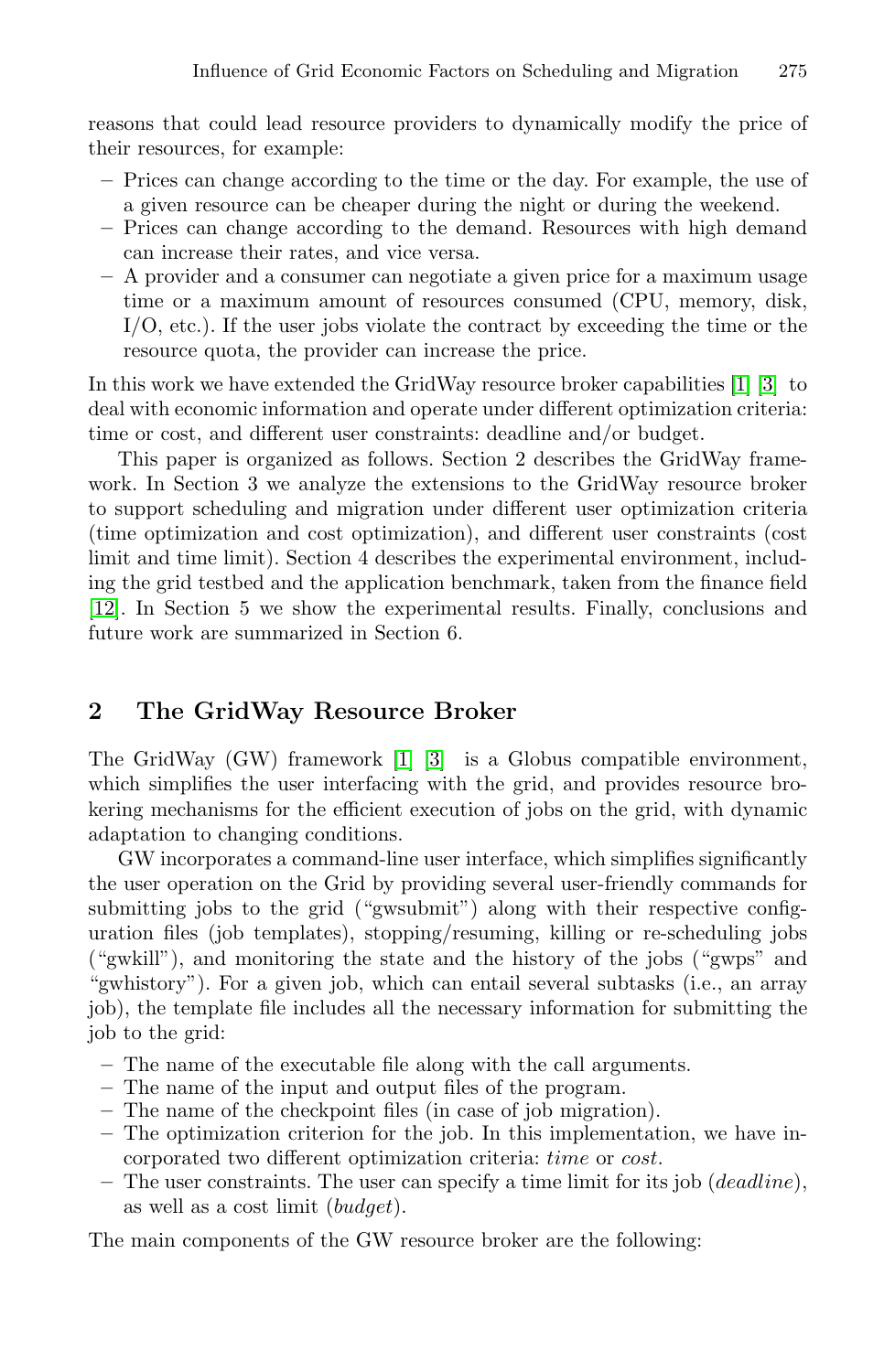reasons that could lead resource providers to dynamically modify the price of their resources, for example:

- **–** Prices can change according to the time or the day. For example, the use of a given resource can be cheaper during the night or during the weekend.
- **–** Prices can change according to the demand. Resources with high demand can increase their rates, and vice versa.
- **–** A provider and a consumer can negotiate a given price for a maximum usage time or a maximum amount of resources consumed (CPU, memory, disk, I/O, etc.). If the user jobs violate the contract by exceeding the time or the resource quota, the provider can increase the price.

In this work we have extended the GridWay resource broker capabilities [\[1\]](#page-12-0) [\[3\]](#page-12-0) to deal with economic information and operate under different optimization criteria: time or cost, and different user constraints: deadline and/or budget.

This paper is organized as follows. Section 2 describes the GridWay framework. In Section 3 we analyze the extensions to the GridWay resource broker to support scheduling and migration under different user optimization criteria (time optimization and cost optimization), and different user constraints (cost limit and time limit). Section 4 describes the experimental environment, including the grid testbed and the application benchmark, taken from the finance field [\[12\]](#page-13-0). In Section 5 we show the experimental results. Finally, conclusions and future work are summarized in Section 6.

#### **2 The GridWay Resource Broker**

The GridWay (GW) framework [\[1\]](#page-12-0) [\[3\]](#page-12-0) is a Globus compatible environment, which simplifies the user interfacing with the grid, and provides resource brokering mechanisms for the efficient execution of jobs on the grid, with dynamic adaptation to changing conditions.

GW incorporates a command-line user interface, which simplifies significantly the user operation on the Grid by providing several user-friendly commands for submitting jobs to the grid ("gwsubmit") along with their respective configuration files (job templates), stopping/resuming, killing or re-scheduling jobs ("gwkill"), and monitoring the state and the history of the jobs ("gwps" and "gwhistory"). For a given job, which can entail several subtasks (i.e., an array job), the template file includes all the necessary information for submitting the job to the grid:

- **–** The name of the executable file along with the call arguments.
- **–** The name of the input and output files of the program.
- **–** The name of the checkpoint files (in case of job migration).
- **–** The optimization criterion for the job. In this implementation, we have incorporated two different optimization criteria: *time* or *cost*.
- **–** The user constraints. The user can specify a time limit for its job (*deadline*), as well as a cost limit (*budget*).

The main components of the GW resource broker are the following: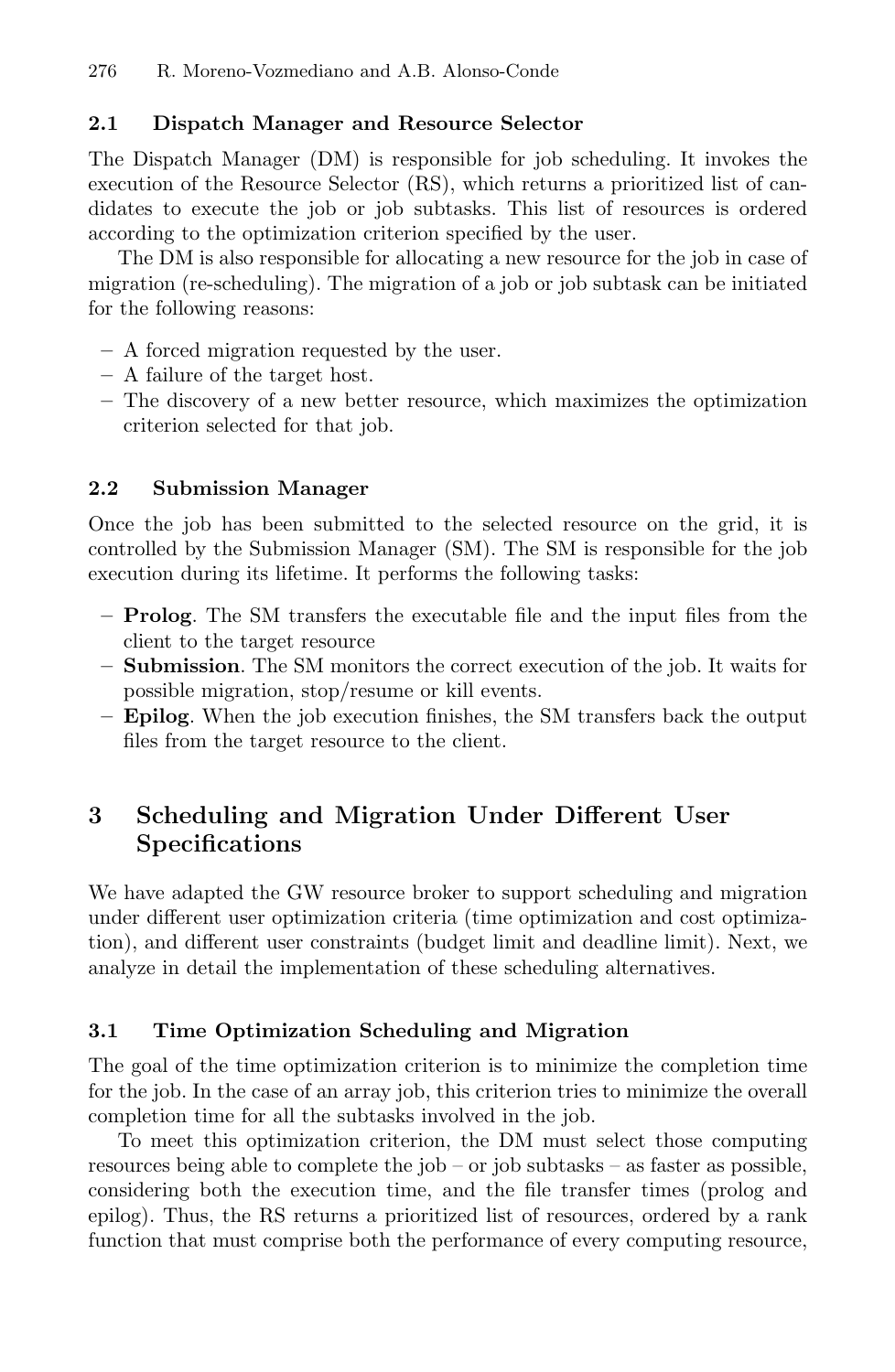#### **2.1 Dispatch Manager and Resource Selector**

The Dispatch Manager (DM) is responsible for job scheduling. It invokes the execution of the Resource Selector (RS), which returns a prioritized list of candidates to execute the job or job subtasks. This list of resources is ordered according to the optimization criterion specified by the user.

The DM is also responsible for allocating a new resource for the job in case of migration (re-scheduling). The migration of a job or job subtask can be initiated for the following reasons:

- **–** A forced migration requested by the user.
- **–** A failure of the target host.
- **–** The discovery of a new better resource, which maximizes the optimization criterion selected for that job.

### **2.2 Submission Manager**

Once the job has been submitted to the selected resource on the grid, it is controlled by the Submission Manager (SM). The SM is responsible for the job execution during its lifetime. It performs the following tasks:

- **Prolog**. The SM transfers the executable file and the input files from the client to the target resource
- **Submission**. The SM monitors the correct execution of the job. It waits for possible migration, stop/resume or kill events.
- **Epilog**. When the job execution finishes, the SM transfers back the output files from the target resource to the client.

## **3 Scheduling and Migration Under Different User Specifications**

We have adapted the GW resource broker to support scheduling and migration under different user optimization criteria (time optimization and cost optimization), and different user constraints (budget limit and deadline limit). Next, we analyze in detail the implementation of these scheduling alternatives.

### **3.1 Time Optimization Scheduling and Migration**

The goal of the time optimization criterion is to minimize the completion time for the job. In the case of an array job, this criterion tries to minimize the overall completion time for all the subtasks involved in the job.

To meet this optimization criterion, the DM must select those computing resources being able to complete the job – or job subtasks – as faster as possible, considering both the execution time, and the file transfer times (prolog and epilog). Thus, the RS returns a prioritized list of resources, ordered by a rank function that must comprise both the performance of every computing resource,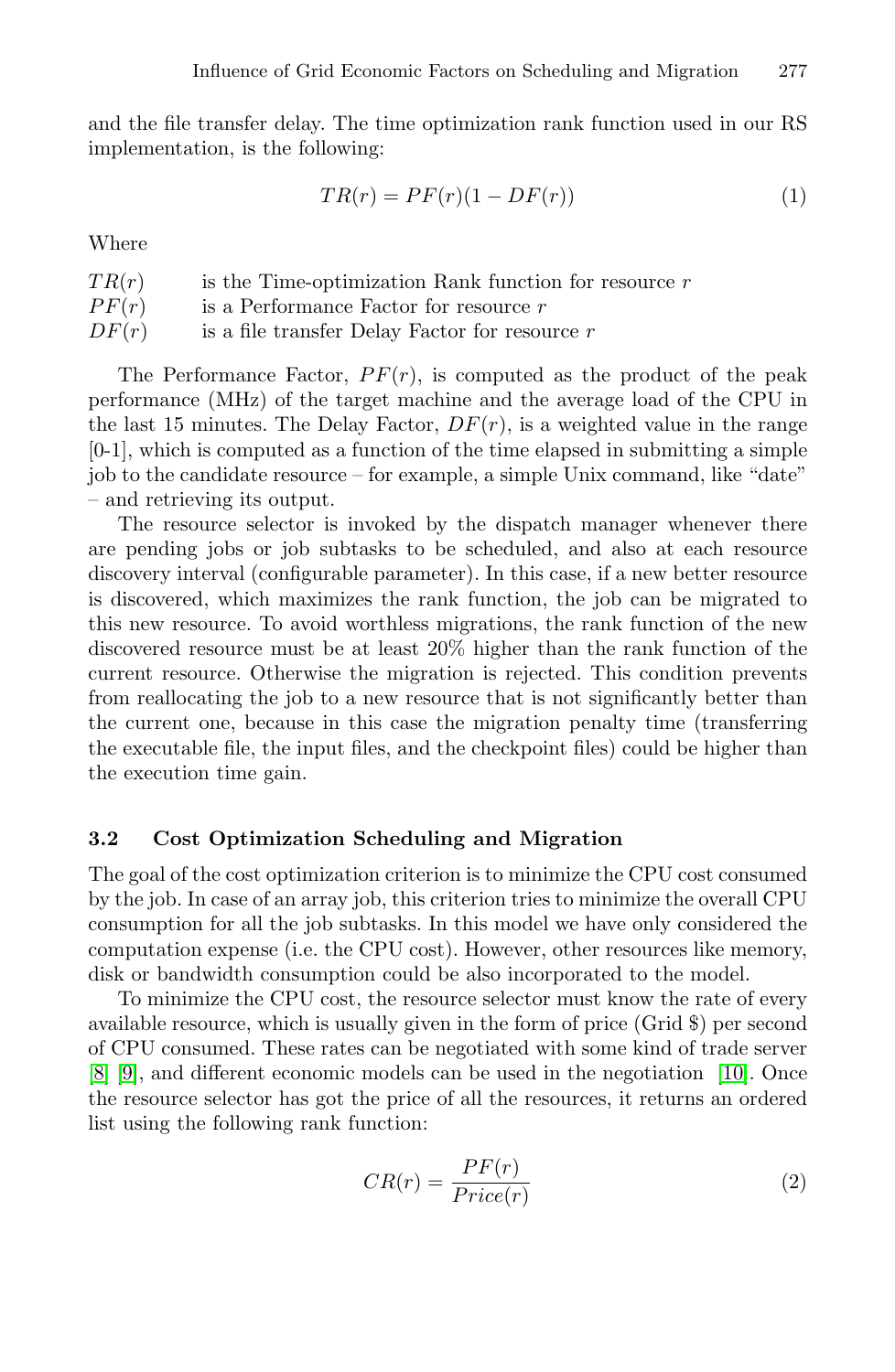and the file transfer delay. The time optimization rank function used in our RS implementation, is the following:

$$
TR(r) = PF(r)(1 - DF(r))\tag{1}
$$

Where

| TR(r) | is the Time-optimization Rank function for resource $r$ |
|-------|---------------------------------------------------------|
| PF(r) | is a Performance Factor for resource $r$                |
| DF(r) | is a file transfer Delay Factor for resource $r$        |

The Performance Factor,  $PF(r)$ , is computed as the product of the peak performance (MHz) of the target machine and the average load of the CPU in the last 15 minutes. The Delay Factor,  $DF(r)$ , is a weighted value in the range [0-1], which is computed as a function of the time elapsed in submitting a simple job to the candidate resource – for example, a simple Unix command, like "date" – and retrieving its output.

The resource selector is invoked by the dispatch manager whenever there are pending jobs or job subtasks to be scheduled, and also at each resource discovery interval (configurable parameter). In this case, if a new better resource is discovered, which maximizes the rank function, the job can be migrated to this new resource. To avoid worthless migrations, the rank function of the new discovered resource must be at least 20% higher than the rank function of the current resource. Otherwise the migration is rejected. This condition prevents from reallocating the job to a new resource that is not significantly better than the current one, because in this case the migration penalty time (transferring the executable file, the input files, and the checkpoint files) could be higher than the execution time gain.

#### **3.2 Cost Optimization Scheduling and Migration**

The goal of the cost optimization criterion is to minimize the CPU cost consumed by the job. In case of an array job, this criterion tries to minimize the overall CPU consumption for all the job subtasks. In this model we have only considered the computation expense (i.e. the CPU cost). However, other resources like memory, disk or bandwidth consumption could be also incorporated to the model.

To minimize the CPU cost, the resource selector must know the rate of every available resource, which is usually given in the form of price (Grid \$) per second of CPU consumed. These rates can be negotiated with some kind of trade server [\[8\]](#page-13-0) [\[9\]](#page-13-0), and different economic models can be used in the negotiation [\[10\]](#page-13-0). Once the resource selector has got the price of all the resources, it returns an ordered list using the following rank function:

$$
CR(r) = \frac{PF(r)}{Price(r)}\tag{2}
$$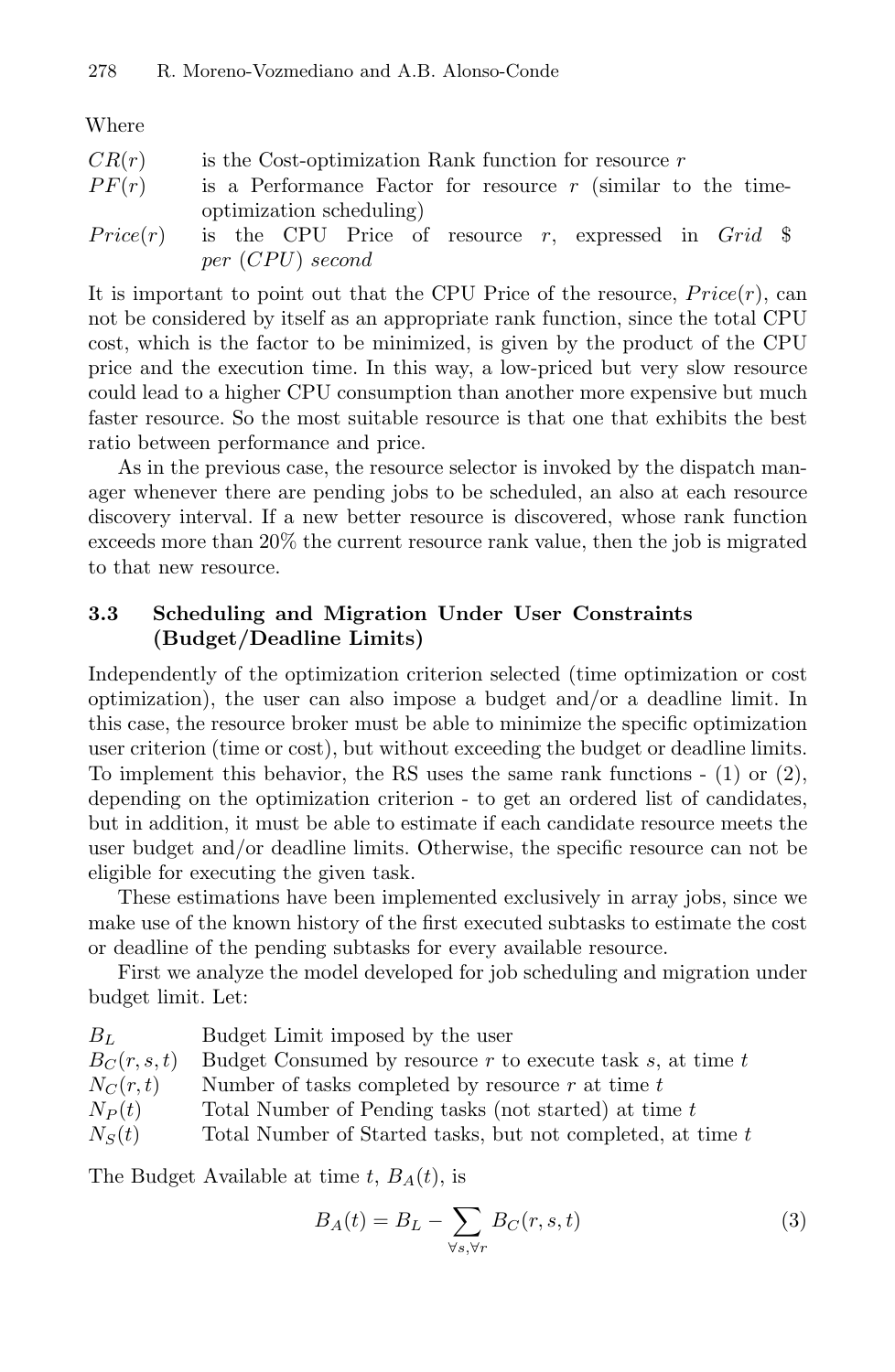Where

| CR(r)    | is the Cost-optimization Rank function for resource $\boldsymbol{r}$ |
|----------|----------------------------------------------------------------------|
| PF(r)    | is a Performance Factor for resource $r$ (similar to the time-       |
|          | optimization scheduling)                                             |
| Price(r) | is the CPU Price of resource r, expressed in $Grid$ \$               |
|          | per(CPU) second                                                      |

It is important to point out that the CPU Price of the resource,  $Price(r)$ , can not be considered by itself as an appropriate rank function, since the total CPU cost, which is the factor to be minimized, is given by the product of the CPU price and the execution time. In this way, a low-priced but very slow resource could lead to a higher CPU consumption than another more expensive but much faster resource. So the most suitable resource is that one that exhibits the best ratio between performance and price.

As in the previous case, the resource selector is invoked by the dispatch manager whenever there are pending jobs to be scheduled, an also at each resource discovery interval. If a new better resource is discovered, whose rank function exceeds more than 20% the current resource rank value, then the job is migrated to that new resource.

### **3.3 Scheduling and Migration Under User Constraints (Budget/Deadline Limits)**

Independently of the optimization criterion selected (time optimization or cost optimization), the user can also impose a budget and/or a deadline limit. In this case, the resource broker must be able to minimize the specific optimization user criterion (time or cost), but without exceeding the budget or deadline limits. To implement this behavior, the RS uses the same rank functions - (1) or (2), depending on the optimization criterion - to get an ordered list of candidates, but in addition, it must be able to estimate if each candidate resource meets the user budget and/or deadline limits. Otherwise, the specific resource can not be eligible for executing the given task.

These estimations have been implemented exclusively in array jobs, since we make use of the known history of the first executed subtasks to estimate the cost or deadline of the pending subtasks for every available resource.

First we analyze the model developed for job scheduling and migration under budget limit. Let:

| $B_L$        | Budget Limit imposed by the user                                  |
|--------------|-------------------------------------------------------------------|
| $B_C(r,s,t)$ | Budget Consumed by resource $r$ to execute task $s$ , at time $t$ |
| $N_C(r,t)$   | Number of tasks completed by resource $r$ at time $t$             |
| $N_P(t)$     | Total Number of Pending tasks (not started) at time t             |
| $N_S(t)$     | Total Number of Started tasks, but not completed, at time t       |

The Budget Available at time  $t$ ,  $B_A(t)$ , is

$$
B_A(t) = B_L - \sum_{\forall s, \forall r} B_C(r, s, t)
$$
\n(3)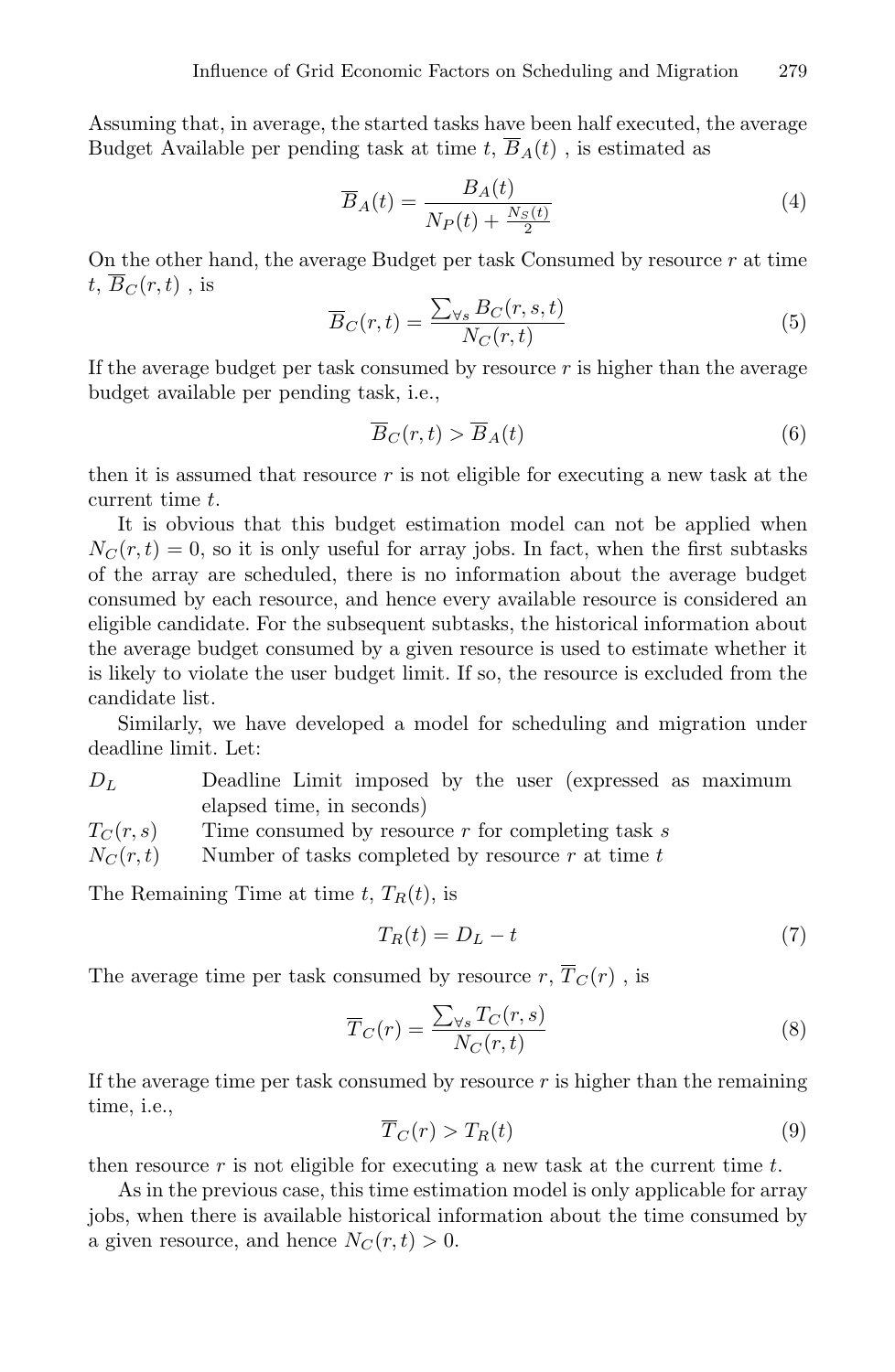Assuming that, in average, the started tasks have been half executed, the average Budget Available per pending task at time  $t$ ,  $B_A(t)$ , is estimated as

$$
\overline{B}_A(t) = \frac{B_A(t)}{N_P(t) + \frac{N_S(t)}{2}}\tag{4}
$$

On the other hand, the average Budget per task Consumed by resource *r* at time  $t, \overline{B}_C(r,t)$ , is

$$
\overline{B}_C(r,t) = \frac{\sum_{\forall s} B_C(r,s,t)}{N_C(r,t)}\tag{5}
$$

If the average budget per task consumed by resource *r* is higher than the average budget available per pending task, i.e.,

$$
\overline{B}_C(r,t) > \overline{B}_A(t) \tag{6}
$$

then it is assumed that resource *r* is not eligible for executing a new task at the current time *t*.

It is obvious that this budget estimation model can not be applied when  $N<sub>C</sub>(r,t) = 0$ , so it is only useful for array jobs. In fact, when the first subtasks of the array are scheduled, there is no information about the average budget consumed by each resource, and hence every available resource is considered an eligible candidate. For the subsequent subtasks, the historical information about the average budget consumed by a given resource is used to estimate whether it is likely to violate the user budget limit. If so, the resource is excluded from the candidate list.

Similarly, we have developed a model for scheduling and migration under deadline limit. Let:

| $D_L$      | Deadline Limit imposed by the user (expressed as maximum |  |  |
|------------|----------------------------------------------------------|--|--|
|            | elapsed time, in seconds)                                |  |  |
| $T_C(r,s)$ | Time consumed by resource $r$ for completing task $s$    |  |  |
| $N_C(r,t)$ | Number of tasks completed by resource $r$ at time $t$    |  |  |

The Remaining Time at time  $t, T_R(t)$ , is

$$
T_R(t) = D_L - t \tag{7}
$$

The average time per task consumed by resource  $r, \overline{T}_C(r)$ , is

$$
\overline{T}_C(r) = \frac{\sum_{\forall s} T_C(r, s)}{N_C(r, t)}
$$
\n(8)

If the average time per task consumed by resource *r* is higher than the remaining time, i.e.,

$$
\overline{T}_C(r) > T_R(t) \tag{9}
$$

then resource *r* is not eligible for executing a new task at the current time *t*.

As in the previous case, this time estimation model is only applicable for array jobs, when there is available historical information about the time consumed by a given resource, and hence  $N_C(r, t) > 0$ .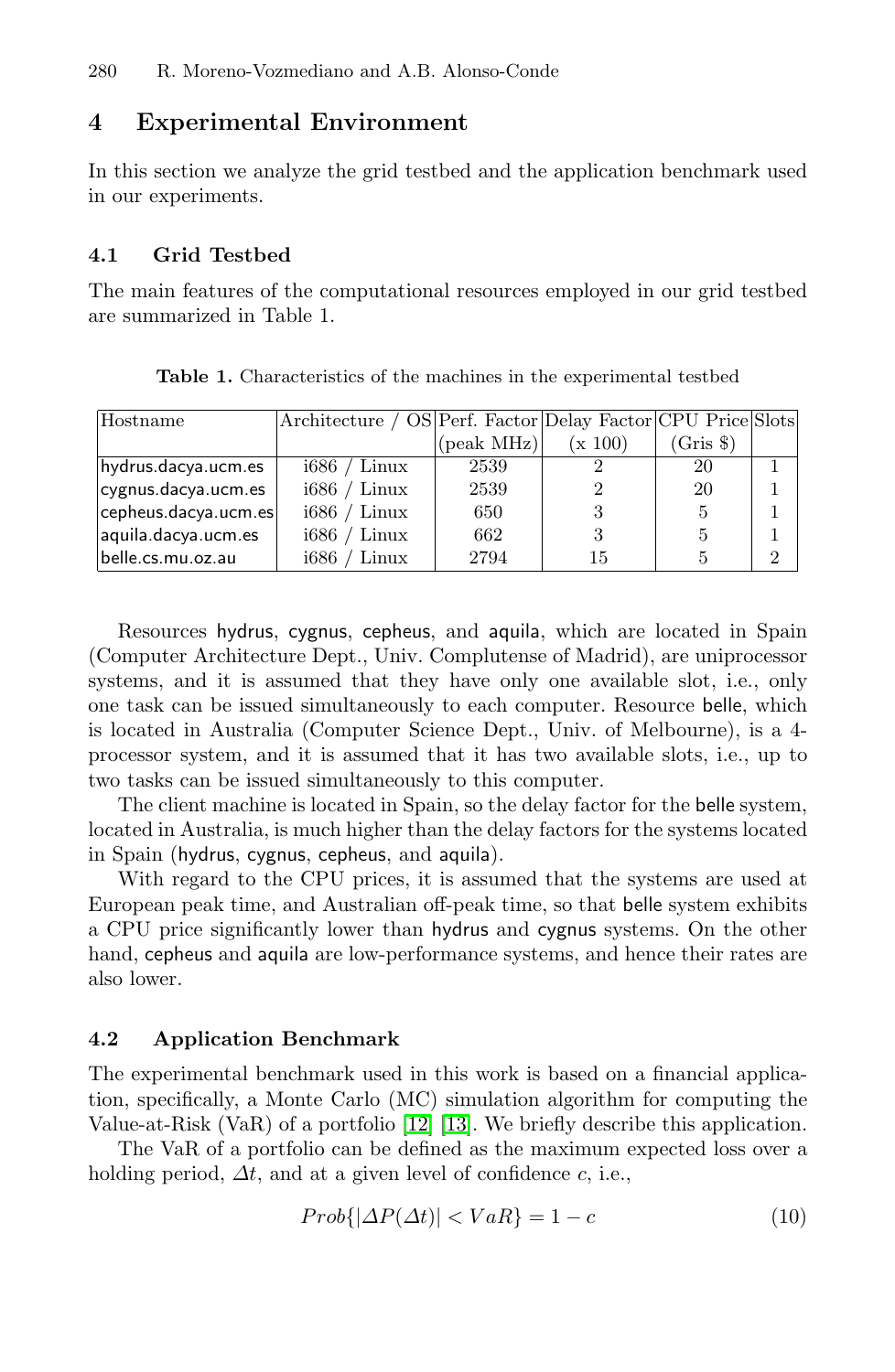## **4 Experimental Environment**

In this section we analyze the grid testbed and the application benchmark used in our experiments.

#### **4.1 Grid Testbed**

The main features of the computational resources employed in our grid testbed are summarized in Table 1.

| Hostname                     | Architecture / OS Perf. Factor Delay Factor CPU Price Slots |                     |         |           |   |
|------------------------------|-------------------------------------------------------------|---------------------|---------|-----------|---|
|                              |                                                             | $(\text{peak MHz})$ | (x 100) | $(Gris \$ |   |
| hydrus.dacya.ucm.es          | $1686 /$ Linux                                              | 2539                |         | 20        |   |
| cygnus.dacya.ucm.es          | $1686 /$ Linux                                              | 2539                |         | 20        |   |
| $ $ cepheus.dacya.ucm.es $ $ | $1686 /$ Linux                                              | 650                 |         | 5         |   |
| aquila.dacya.ucm.es          | $1686 /$ Linux                                              | 662                 |         | 5         |   |
| belle.cs.mu.oz.au            | Linux<br>i686                                               | 2794                | 15      |           | റ |

**Table 1.** Characteristics of the machines in the experimental testbed

Resources hydrus, cygnus, cepheus, and aquila, which are located in Spain (Computer Architecture Dept., Univ. Complutense of Madrid), are uniprocessor systems, and it is assumed that they have only one available slot, i.e., only one task can be issued simultaneously to each computer. Resource belle, which is located in Australia (Computer Science Dept., Univ. of Melbourne), is a 4 processor system, and it is assumed that it has two available slots, i.e., up to two tasks can be issued simultaneously to this computer.

The client machine is located in Spain, so the delay factor for the belle system, located in Australia, is much higher than the delay factors for the systems located in Spain (hydrus, cygnus, cepheus, and aquila).

With regard to the CPU prices, it is assumed that the systems are used at European peak time, and Australian off-peak time, so that belle system exhibits a CPU price significantly lower than hydrus and cygnus systems. On the other hand, cepheus and aquila are low-performance systems, and hence their rates are also lower.

#### **4.2 Application Benchmark**

The experimental benchmark used in this work is based on a financial application, specifically, a Monte Carlo (MC) simulation algorithm for computing the Value-at-Risk (VaR) of a portfolio [\[12\]](#page-13-0) [\[13\]](#page-13-0). We briefly describe this application.

The VaR of a portfolio can be defined as the maximum expected loss over a holding period, *∆t*, and at a given level of confidence *c*, i.e.,

$$
Prob[|\Delta P(\Delta t)| < VaR
$$
 = 1 - c (10)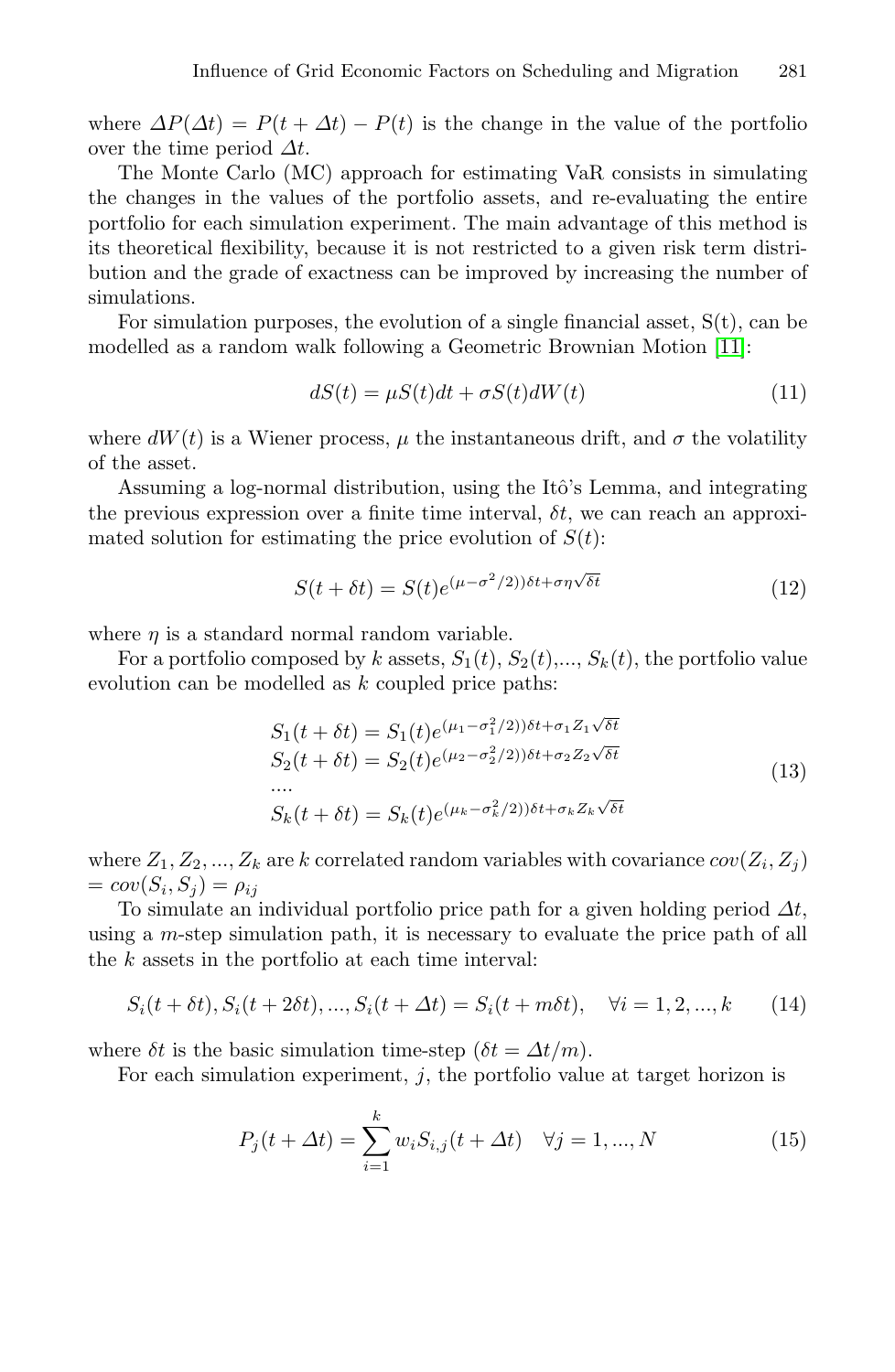where  $\Delta P(\Delta t) = P(t + \Delta t) - P(t)$  is the change in the value of the portfolio over the time period *∆t*.

The Monte Carlo (MC) approach for estimating VaR consists in simulating the changes in the values of the portfolio assets, and re-evaluating the entire portfolio for each simulation experiment. The main advantage of this method is its theoretical flexibility, because it is not restricted to a given risk term distribution and the grade of exactness can be improved by increasing the number of simulations.

For simulation purposes, the evolution of a single financial asset,  $S(t)$ , can be modelled as a random walk following a Geometric Brownian Motion [\[11\]](#page-13-0):

$$
dS(t) = \mu S(t)dt + \sigma S(t)dW(t)
$$
\n(11)

where  $dW(t)$  is a Wiener process,  $\mu$  the instantaneous drift, and  $\sigma$  the volatility of the asset.

Assuming a log-normal distribution, using the Itô's Lemma, and integrating the previous expression over a finite time interval,  $\delta t$ , we can reach an approximated solution for estimating the price evolution of  $S(t)$ :

$$
S(t + \delta t) = S(t)e^{(\mu - \sigma^2/2)\delta t + \sigma \eta \sqrt{\delta t}}
$$
\n(12)

where  $\eta$  is a standard normal random variable.

For a portfolio composed by *k* assets,  $S_1(t)$ ,  $S_2(t)$ ,...,  $S_k(t)$ , the portfolio value evolution can be modelled as *k* coupled price paths:

$$
S_1(t + \delta t) = S_1(t)e^{(\mu_1 - \sigma_1^2/2)\delta t + \sigma_1 Z_1\sqrt{\delta t}}
$$
  
\n
$$
S_2(t + \delta t) = S_2(t)e^{(\mu_2 - \sigma_2^2/2)\delta t + \sigma_2 Z_2\sqrt{\delta t}}
$$
  
\n....  
\n
$$
S_k(t + \delta t) = S_k(t)e^{(\mu_k - \sigma_k^2/2)\delta t + \sigma_k Z_k\sqrt{\delta t}}
$$
\n(13)

where  $Z_1, Z_2, ..., Z_k$  are *k* correlated random variables with covariance  $cov(Z_i, Z_j)$  $= cov(S_i, S_j) = \rho_{ij}$ 

To simulate an individual portfolio price path for a given holding period *∆t*, using a *m*-step simulation path, it is necessary to evaluate the price path of all the *k* assets in the portfolio at each time interval:

$$
S_i(t + \delta t), S_i(t + 2\delta t), ..., S_i(t + \Delta t) = S_i(t + m\delta t), \quad \forall i = 1, 2, ..., k \tag{14}
$$

where  $\delta t$  is the basic simulation time-step ( $\delta t = \Delta t/m$ ).

For each simulation experiment,  $j$ , the portfolio value at target horizon is

$$
P_j(t + \Delta t) = \sum_{i=1}^{k} w_i S_{i,j}(t + \Delta t) \quad \forall j = 1, ..., N
$$
 (15)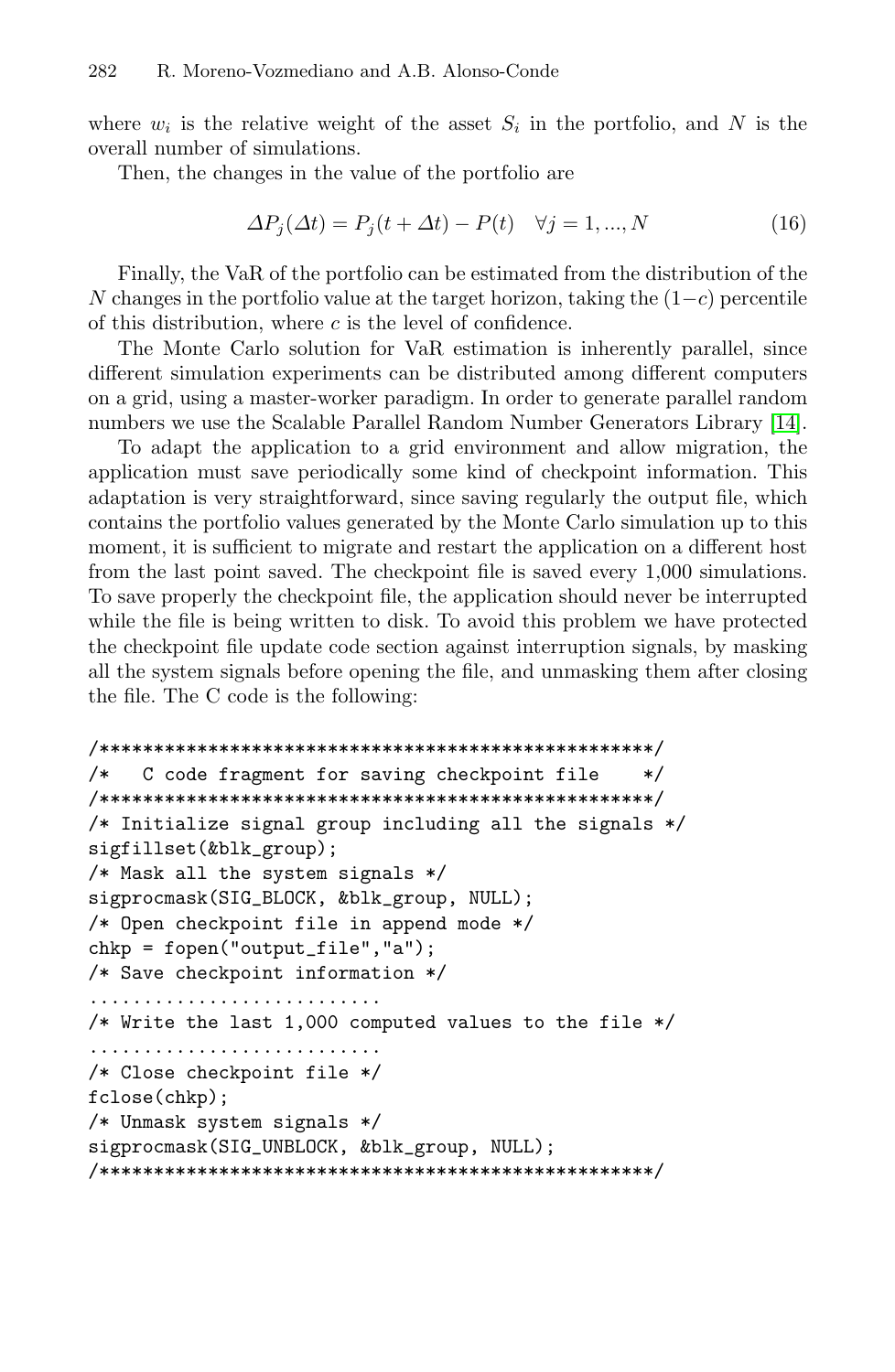where  $w_i$  is the relative weight of the asset  $S_i$  in the portfolio, and N is the overall number of simulations.

Then, the changes in the value of the portfolio are

$$
\Delta P_j(\Delta t) = P_j(t + \Delta t) - P(t) \quad \forall j = 1, ..., N \tag{16}
$$

Finally, the VaR of the portfolio can be estimated from the distribution of the *N* changes in the portfolio value at the target horizon, taking the  $(1-c)$  percentile of this distribution, where *c* is the level of confidence.

The Monte Carlo solution for VaR estimation is inherently parallel, since different simulation experiments can be distributed among different computers on a grid, using a master-worker paradigm. In order to generate parallel random numbers we use the Scalable Parallel Random Number Generators Library [\[14\]](#page-13-0).

To adapt the application to a grid environment and allow migration, the application must save periodically some kind of checkpoint information. This adaptation is very straightforward, since saving regularly the output file, which contains the portfolio values generated by the Monte Carlo simulation up to this moment, it is sufficient to migrate and restart the application on a different host from the last point saved. The checkpoint file is saved every 1,000 simulations. To save properly the checkpoint file, the application should never be interrupted while the file is being written to disk. To avoid this problem we have protected the checkpoint file update code section against interruption signals, by masking all the system signals before opening the file, and unmasking them after closing the file. The C code is the following:

```
/***************************************************/
/* C code fragment for saving checkpoint file */
/***************************************************/
/* Initialize signal group including all the signals */
sigfillset(&blk_group);
/* Mask all the system signals */
sigprocmask(SIG_BLOCK, &blk_group, NULL);
/* Open checkpoint file in append mode */
chkp = fopen("output_file","a");
/* Save checkpoint information */
...........................
/* Write the last 1,000 computed values to the file */
...........................
/* Close checkpoint file */
fclose(chkp);
/* Unmask system signals */
sigprocmask(SIG_UNBLOCK, &blk_group, NULL);
/***************************************************/
```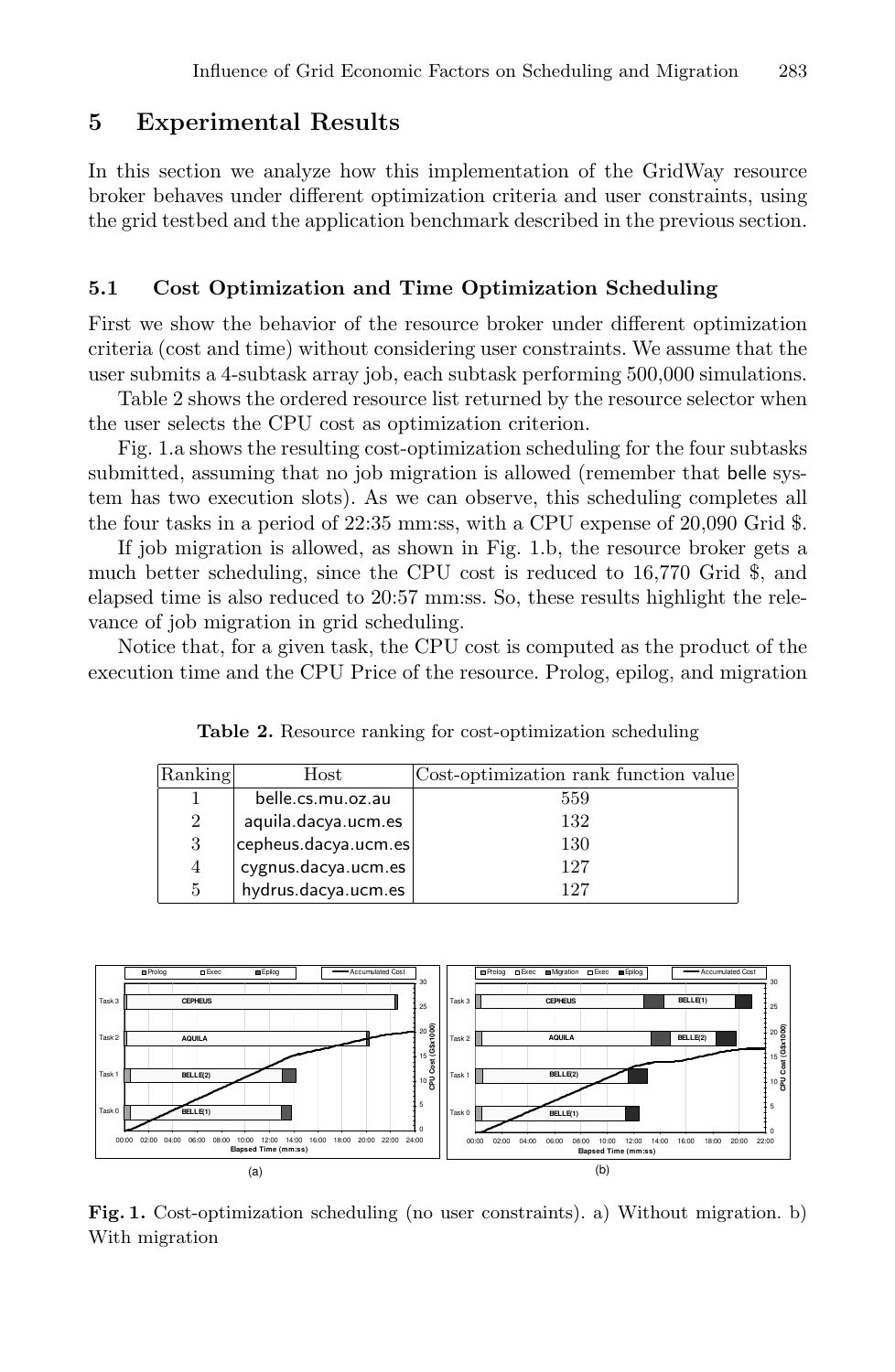## **5 Experimental Results**

In this section we analyze how this implementation of the GridWay resource broker behaves under different optimization criteria and user constraints, using the grid testbed and the application benchmark described in the previous section.

#### **5.1 Cost Optimization and Time Optimization Scheduling**

First we show the behavior of the resource broker under different optimization criteria (cost and time) without considering user constraints. We assume that the user submits a 4-subtask array job, each subtask performing 500,000 simulations.

Table 2 shows the ordered resource list returned by the resource selector when the user selects the CPU cost as optimization criterion.

Fig. 1.a shows the resulting cost-optimization scheduling for the four subtasks submitted, assuming that no job migration is allowed (remember that belle system has two execution slots). As we can observe, this scheduling completes all the four tasks in a period of 22:35 mm:ss, with a CPU expense of 20,090 Grid \$.

If job migration is allowed, as shown in Fig. 1.b, the resource broker gets a much better scheduling, since the CPU cost is reduced to 16,770 Grid \$, and elapsed time is also reduced to 20:57 mm:ss. So, these results highlight the relevance of job migration in grid scheduling.

Notice that, for a given task, the CPU cost is computed as the product of the execution time and the CPU Price of the resource. Prolog, epilog, and migration

| Ranking | $\operatorname{Host}$ | Cost-optimization rank function value |
|---------|-----------------------|---------------------------------------|
|         | belle.cs.mu.oz.au     | 559                                   |
| 2       | aquila.dacya.ucm.es   | 132                                   |
| 3       | cepheus.dacya.ucm.es  | 130                                   |
| 4       | cygnus.dacya.ucm.es   | 127                                   |
| 5       | hydrus.dacya.ucm.es   | 127                                   |

**Table 2.** Resource ranking for cost-optimization scheduling



**Fig. 1.** Cost-optimization scheduling (no user constraints). a) Without migration. b) With migration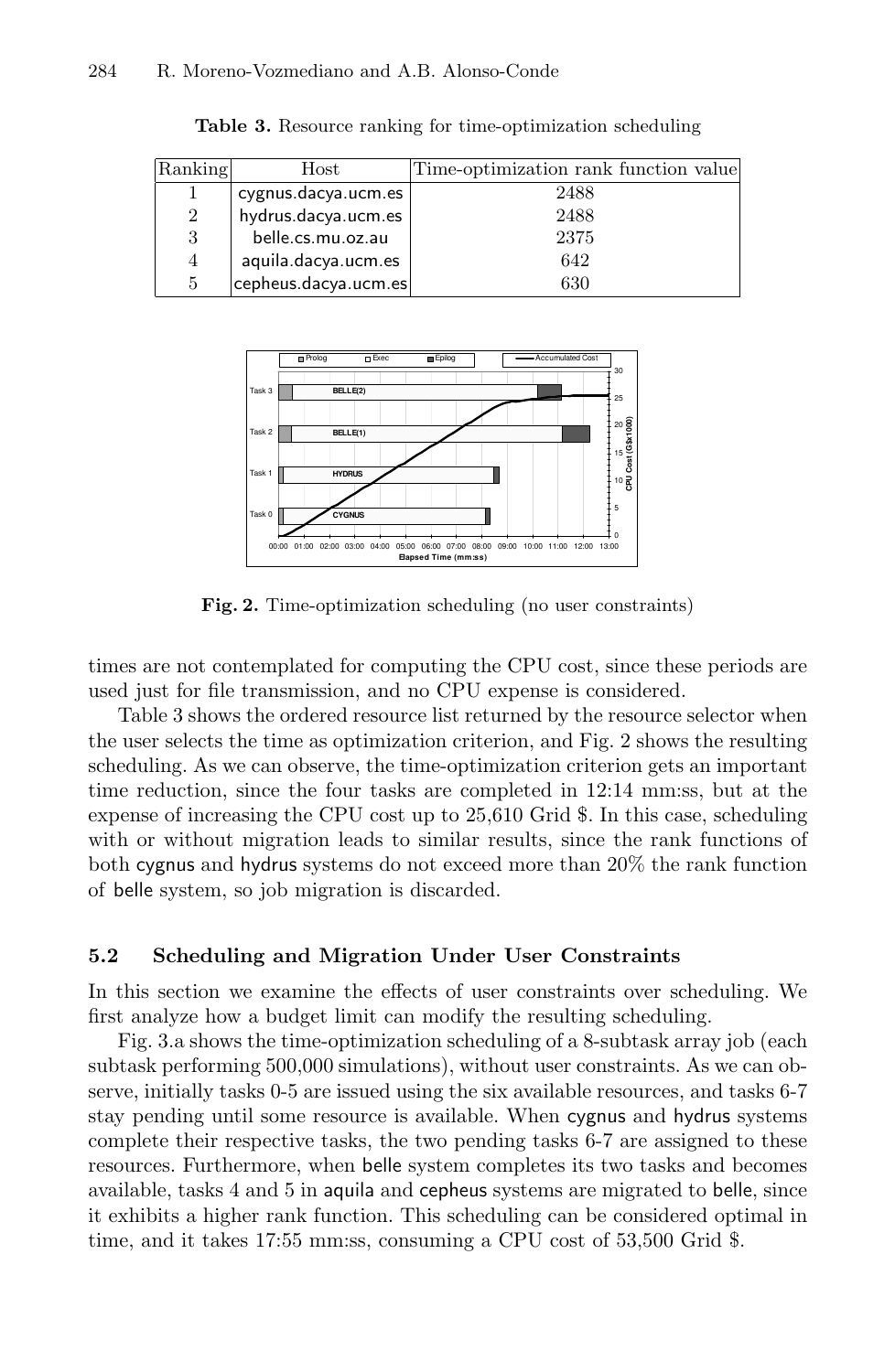| Ranking        | $\operatorname{Host}$ | Time-optimization rank function value |
|----------------|-----------------------|---------------------------------------|
|                | cygnus.dacya.ucm.es   | 2488                                  |
| $\overline{2}$ | hydrus.dacya.ucm.es   | 2488                                  |
| 3              | belle.cs.mu.oz.au     | 2375                                  |
| 4              | aquila.dacya.ucm.es   | 642                                   |
| 5              | cepheus.dacya.ucm.es  | 630                                   |

**Table 3.** Resource ranking for time-optimization scheduling



**Fig. 2.** Time-optimization scheduling (no user constraints)

times are not contemplated for computing the CPU cost, since these periods are used just for file transmission, and no CPU expense is considered.

Table 3 shows the ordered resource list returned by the resource selector when the user selects the time as optimization criterion, and Fig. 2 shows the resulting scheduling. As we can observe, the time-optimization criterion gets an important time reduction, since the four tasks are completed in 12:14 mm:ss, but at the expense of increasing the CPU cost up to 25,610 Grid \$. In this case, scheduling with or without migration leads to similar results, since the rank functions of both cygnus and hydrus systems do not exceed more than 20% the rank function of belle system, so job migration is discarded.

#### **5.2 Scheduling and Migration Under User Constraints**

In this section we examine the effects of user constraints over scheduling. We first analyze how a budget limit can modify the resulting scheduling.

Fig. 3.a shows the time-optimization scheduling of a 8-subtask array job (each subtask performing 500,000 simulations), without user constraints. As we can observe, initially tasks 0-5 are issued using the six available resources, and tasks 6-7 stay pending until some resource is available. When cygnus and hydrus systems complete their respective tasks, the two pending tasks 6-7 are assigned to these resources. Furthermore, when belle system completes its two tasks and becomes available, tasks 4 and 5 in aquila and cepheus systems are migrated to belle, since it exhibits a higher rank function. This scheduling can be considered optimal in time, and it takes 17:55 mm:ss, consuming a CPU cost of 53,500 Grid \$.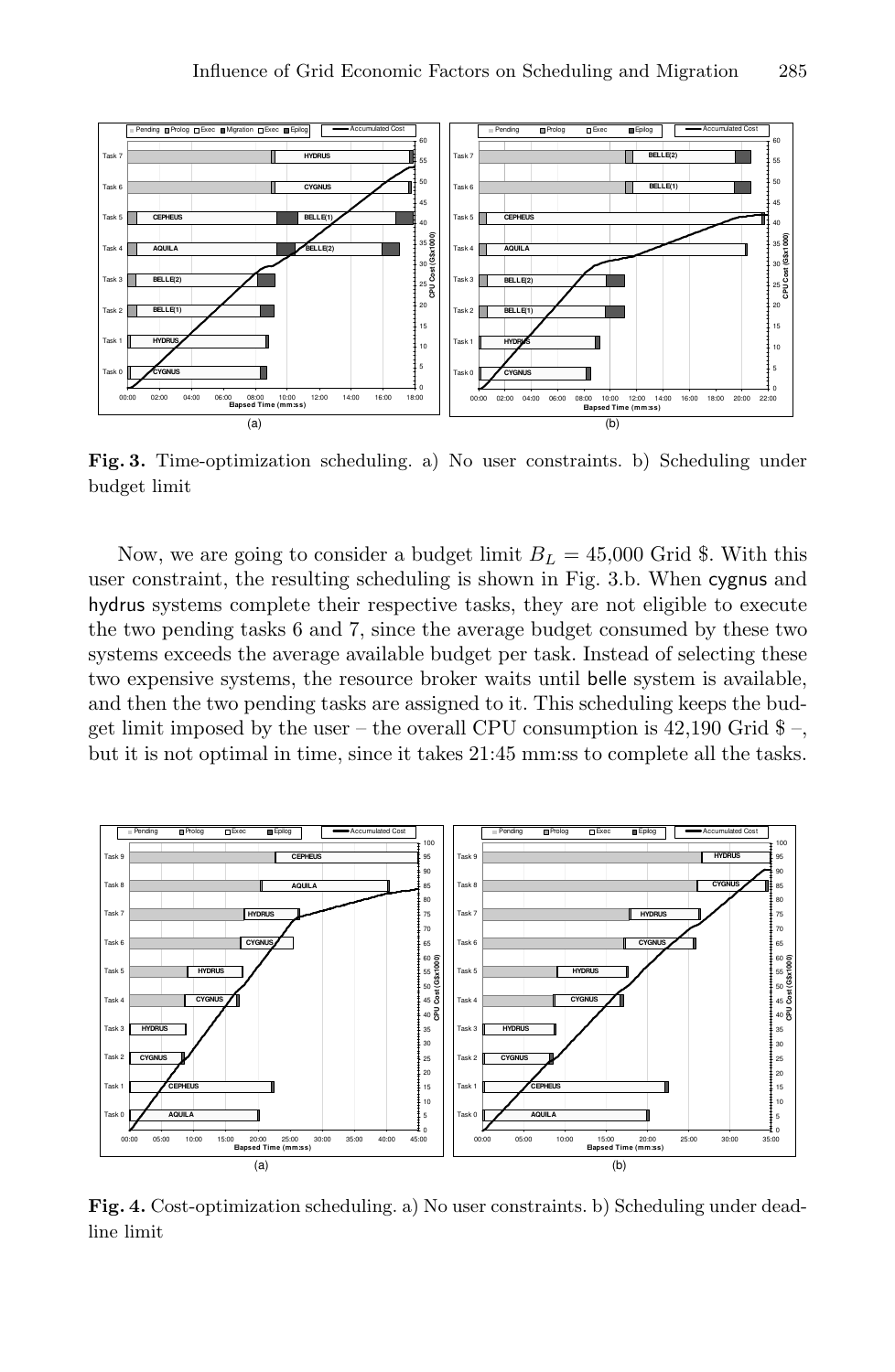

**Fig. 3.** Time-optimization scheduling. a) No user constraints. b) Scheduling under budget limit

Now, we are going to consider a budget limit  $B_L = 45,000$  Grid \$. With this user constraint, the resulting scheduling is shown in Fig. 3.b. When cygnus and hydrus systems complete their respective tasks, they are not eligible to execute the two pending tasks 6 and 7, since the average budget consumed by these two systems exceeds the average available budget per task. Instead of selecting these two expensive systems, the resource broker waits until belle system is available, and then the two pending tasks are assigned to it. This scheduling keeps the budget limit imposed by the user – the overall CPU consumption is  $42,190$  Grid  $\frac{1}{3}$  –, but it is not optimal in time, since it takes 21:45 mm:ss to complete all the tasks.



**Fig. 4.** Cost-optimization scheduling. a) No user constraints. b) Scheduling under deadline limit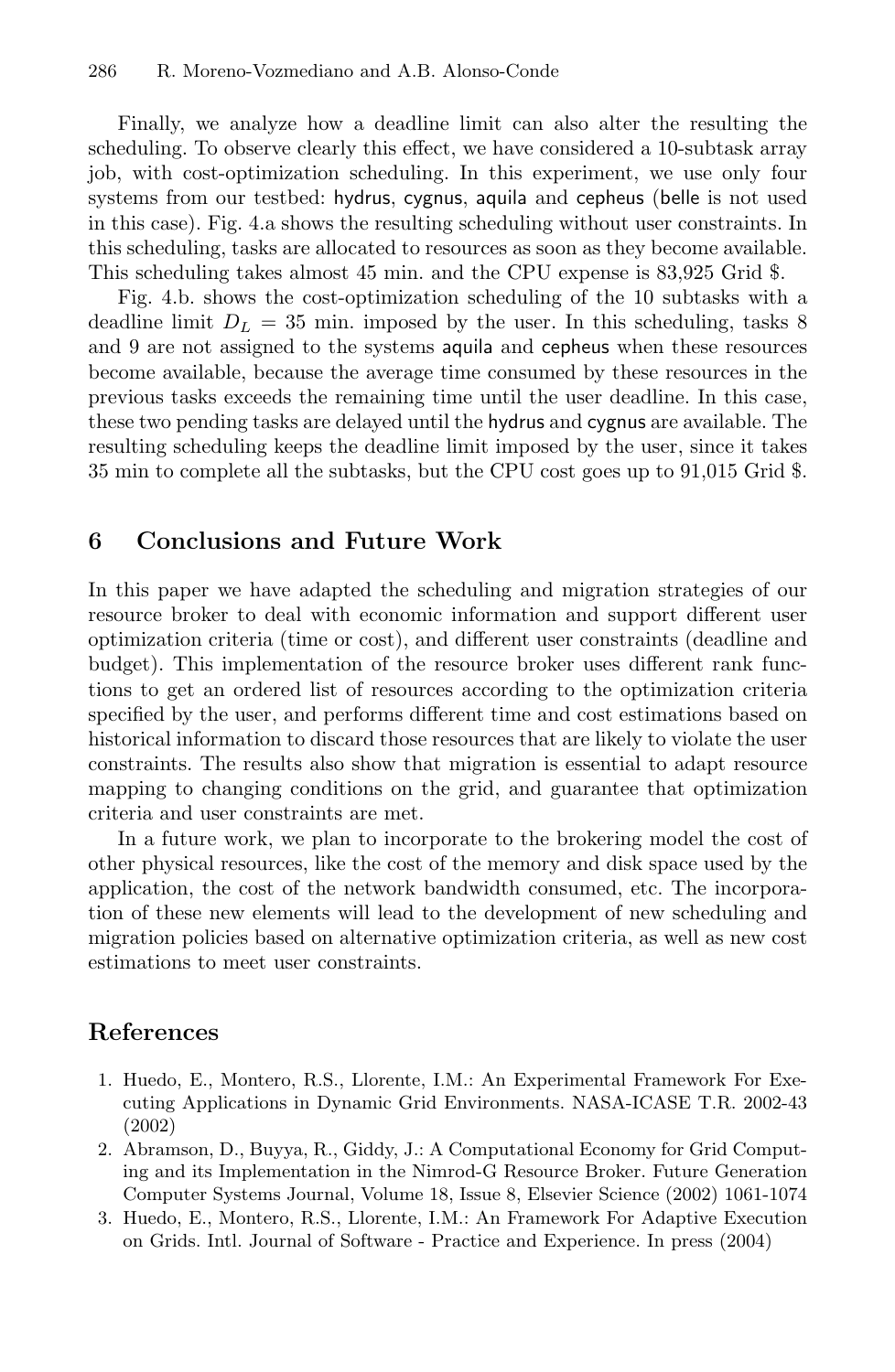<span id="page-12-0"></span>Finally, we analyze how a deadline limit can also alter the resulting the scheduling. To observe clearly this effect, we have considered a 10-subtask array job, with cost-optimization scheduling. In this experiment, we use only four systems from our testbed: hydrus, cygnus, aquila and cepheus (belle is not used in this case). Fig. 4.a shows the resulting scheduling without user constraints. In this scheduling, tasks are allocated to resources as soon as they become available. This scheduling takes almost 45 min. and the CPU expense is 83,925 Grid \$.

Fig. 4.b. shows the cost-optimization scheduling of the 10 subtasks with a deadline limit  $D<sub>L</sub> = 35$  min. imposed by the user. In this scheduling, tasks 8 and 9 are not assigned to the systems aquila and cepheus when these resources become available, because the average time consumed by these resources in the previous tasks exceeds the remaining time until the user deadline. In this case, these two pending tasks are delayed until the hydrus and cygnus are available. The resulting scheduling keeps the deadline limit imposed by the user, since it takes 35 min to complete all the subtasks, but the CPU cost goes up to 91,015 Grid \$.

### **6 Conclusions and Future Work**

In this paper we have adapted the scheduling and migration strategies of our resource broker to deal with economic information and support different user optimization criteria (time or cost), and different user constraints (deadline and budget). This implementation of the resource broker uses different rank functions to get an ordered list of resources according to the optimization criteria specified by the user, and performs different time and cost estimations based on historical information to discard those resources that are likely to violate the user constraints. The results also show that migration is essential to adapt resource mapping to changing conditions on the grid, and guarantee that optimization criteria and user constraints are met.

In a future work, we plan to incorporate to the brokering model the cost of other physical resources, like the cost of the memory and disk space used by the application, the cost of the network bandwidth consumed, etc. The incorporation of these new elements will lead to the development of new scheduling and migration policies based on alternative optimization criteria, as well as new cost estimations to meet user constraints.

### **References**

- 1. Huedo, E., Montero, R.S., Llorente, I.M.: An Experimental Framework For Executing Applications in Dynamic Grid Environments. NASA-ICASE T.R. 2002-43 (2002)
- 2. Abramson, D., Buyya, R., Giddy, J.: A Computational Economy for Grid Computing and its Implementation in the Nimrod-G Resource Broker. Future Generation Computer Systems Journal, Volume 18, Issue 8, Elsevier Science (2002) 1061-1074
- 3. Huedo, E., Montero, R.S., Llorente, I.M.: An Framework For Adaptive Execution on Grids. Intl. Journal of Software - Practice and Experience. In press (2004)